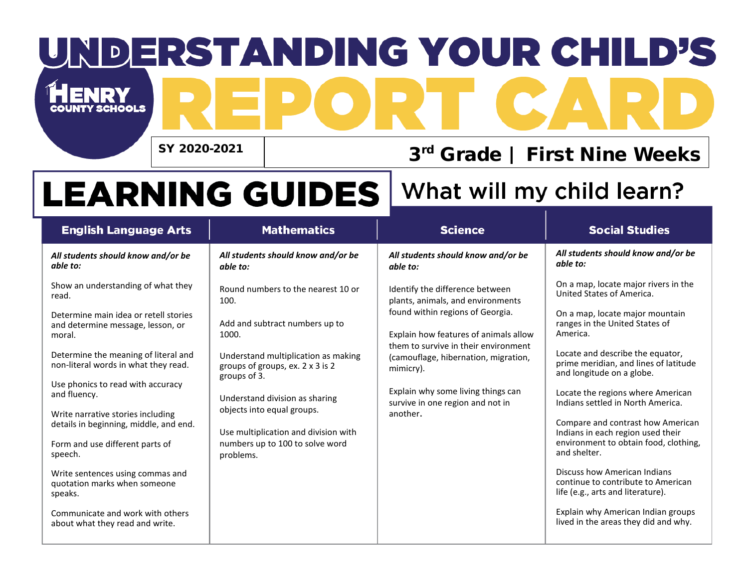# DERSTANDING YOUR CHILD'S  $\blacksquare$

SY 2020-2021

#### 3rd Grade | First Nine Weeks

## **LEARNING GUIDES**

#### What will my child learn?

| <b>English Language Arts</b>                                                         | <b>Mathematics</b>                                                                      | <b>Science</b>                                                                                                                                                                                                                                 | <b>Social Studies</b>                                                                                                           |
|--------------------------------------------------------------------------------------|-----------------------------------------------------------------------------------------|------------------------------------------------------------------------------------------------------------------------------------------------------------------------------------------------------------------------------------------------|---------------------------------------------------------------------------------------------------------------------------------|
| All students should know and/or be<br>able to:                                       | All students should know and/or be<br>able to:                                          | All students should know and/or be<br>able to:                                                                                                                                                                                                 | All students should know and/or be<br>able to:                                                                                  |
| Show an understanding of what they<br>read.<br>Determine main idea or retell stories | Round numbers to the nearest 10 or<br>100.                                              | Identify the difference between<br>plants, animals, and environments<br>found within regions of Georgia.<br>Explain how features of animals allow<br>them to survive in their environment<br>(camouflage, hibernation, migration,<br>mimicry). | On a map, locate major rivers in the<br>United States of America.<br>On a map, locate major mountain                            |
| and determine message, lesson, or<br>moral.                                          | Add and subtract numbers up to<br>1000.                                                 |                                                                                                                                                                                                                                                | ranges in the United States of<br>America.                                                                                      |
| Determine the meaning of literal and<br>non-literal words in what they read.         | Understand multiplication as making<br>groups of groups, ex. 2 x 3 is 2<br>groups of 3. |                                                                                                                                                                                                                                                | Locate and describe the equator,<br>prime meridian, and lines of latitude<br>and longitude on a globe.                          |
| Use phonics to read with accuracy<br>and fluency.                                    | Understand division as sharing<br>objects into equal groups.                            | Explain why some living things can<br>survive in one region and not in                                                                                                                                                                         | Locate the regions where American<br>Indians settled in North America.                                                          |
| Write narrative stories including<br>details in beginning, middle, and end.          | Use multiplication and division with<br>numbers up to 100 to solve word<br>problems.    | another.                                                                                                                                                                                                                                       | Compare and contrast how American<br>Indians in each region used their<br>environment to obtain food, clothing,<br>and shelter. |
| Form and use different parts of<br>speech.                                           |                                                                                         |                                                                                                                                                                                                                                                |                                                                                                                                 |
| Write sentences using commas and<br>quotation marks when someone<br>speaks.          |                                                                                         |                                                                                                                                                                                                                                                | Discuss how American Indians<br>continue to contribute to American<br>life (e.g., arts and literature).                         |
| Communicate and work with others<br>about what they read and write.                  |                                                                                         |                                                                                                                                                                                                                                                | Explain why American Indian groups<br>lived in the areas they did and why.                                                      |